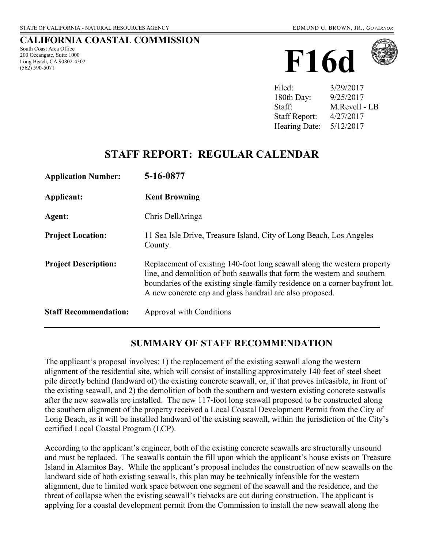## **CALIFORNIA COASTAL COMMISSION**

South Coast Area Office 200 Oceangate, Suite 1000 Long Beach, CA 90802-4302 (562) 590-5071





| Filed:               | 3/29/2017     |
|----------------------|---------------|
| 180th Day:           | 9/25/2017     |
| Staff:               | M.Revell - LB |
| <b>Staff Report:</b> | 4/27/2017     |
| Hearing Date:        | 5/12/2017     |

# **STAFF REPORT: REGULAR CALENDAR**

| <b>Application Number:</b>   | 5-16-0877                                                                                                                                                                                                                                                                                        |
|------------------------------|--------------------------------------------------------------------------------------------------------------------------------------------------------------------------------------------------------------------------------------------------------------------------------------------------|
| Applicant:                   | <b>Kent Browning</b>                                                                                                                                                                                                                                                                             |
| Agent:                       | Chris DellAringa                                                                                                                                                                                                                                                                                 |
| <b>Project Location:</b>     | 11 Sea Isle Drive, Treasure Island, City of Long Beach, Los Angeles<br>County.                                                                                                                                                                                                                   |
| <b>Project Description:</b>  | Replacement of existing 140-foot long seawall along the western property<br>line, and demolition of both seawalls that form the western and southern<br>boundaries of the existing single-family residence on a corner bayfront lot.<br>A new concrete cap and glass handrail are also proposed. |
| <b>Staff Recommendation:</b> | <b>Approval with Conditions</b>                                                                                                                                                                                                                                                                  |

## **SUMMARY OF STAFF RECOMMENDATION**

The applicant's proposal involves: 1) the replacement of the existing seawall along the western alignment of the residential site, which will consist of installing approximately 140 feet of steel sheet pile directly behind (landward of) the existing concrete seawall, or, if that proves infeasible, in front of the existing seawall, and 2) the demolition of both the southern and western existing concrete seawalls after the new seawalls are installed. The new 117-foot long seawall proposed to be constructed along the southern alignment of the property received a Local Coastal Development Permit from the City of Long Beach, as it will be installed landward of the existing seawall, within the jurisdiction of the City's certified Local Coastal Program (LCP).

According to the applicant's engineer, both of the existing concrete seawalls are structurally unsound and must be replaced. The seawalls contain the fill upon which the applicant's house exists on Treasure Island in Alamitos Bay. While the applicant's proposal includes the construction of new seawalls on the landward side of both existing seawalls, this plan may be technically infeasible for the western alignment, due to limited work space between one segment of the seawall and the residence, and the threat of collapse when the existing seawall's tiebacks are cut during construction. The applicant is applying for a coastal development permit from the Commission to install the new seawall along the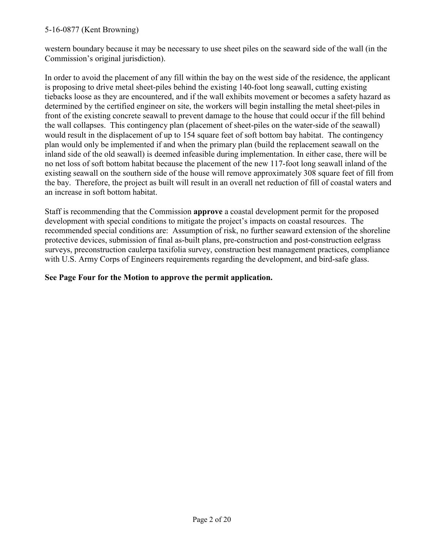western boundary because it may be necessary to use sheet piles on the seaward side of the wall (in the Commission's original jurisdiction).

In order to avoid the placement of any fill within the bay on the west side of the residence, the applicant is proposing to drive metal sheet-piles behind the existing 140-foot long seawall, cutting existing tiebacks loose as they are encountered, and if the wall exhibits movement or becomes a safety hazard as determined by the certified engineer on site, the workers will begin installing the metal sheet-piles in front of the existing concrete seawall to prevent damage to the house that could occur if the fill behind the wall collapses. This contingency plan (placement of sheet-piles on the water-side of the seawall) would result in the displacement of up to 154 square feet of soft bottom bay habitat. The contingency plan would only be implemented if and when the primary plan (build the replacement seawall on the inland side of the old seawall) is deemed infeasible during implementation. In either case, there will be no net loss of soft bottom habitat because the placement of the new 117-foot long seawall inland of the existing seawall on the southern side of the house will remove approximately 308 square feet of fill from the bay. Therefore, the project as built will result in an overall net reduction of fill of coastal waters and an increase in soft bottom habitat.

Staff is recommending that the Commission **approve** a coastal development permit for the proposed development with special conditions to mitigate the project's impacts on coastal resources. The recommended special conditions are: Assumption of risk, no further seaward extension of the shoreline protective devices, submission of final as-built plans, pre-construction and post-construction eelgrass surveys, preconstruction caulerpa taxifolia survey, construction best management practices, compliance with U.S. Army Corps of Engineers requirements regarding the development, and bird-safe glass.

### **See Page Four for the Motion to approve the permit application.**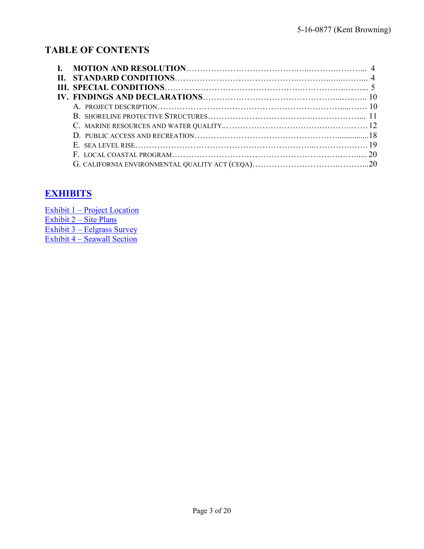# **TABLE OF CONTENTS**

| E. SEA LEVEL RISE $\ldots$ $\ldots$ $\ldots$ $\ldots$ $\ldots$ $\ldots$ $\ldots$ $\ldots$ $\ldots$ $\ldots$ $\ldots$ $\ldots$ $\ldots$ $\ldots$ $\ldots$ $\ldots$ $\ldots$ $\ldots$ |  |
|-------------------------------------------------------------------------------------------------------------------------------------------------------------------------------------|--|
|                                                                                                                                                                                     |  |
|                                                                                                                                                                                     |  |

# **[EXHIBITS](https://documents.coastal.ca.gov/reports/2017/5/f16d/f16d-5-2017-exhibits.pdf)**

| Exhibit 1 – Project Location    |
|---------------------------------|
| Exhibit $2 - \text{Site Plans}$ |
| Exhibit 3 – Eelgrass Survey     |
| Exhibit 4 – Seawall Section     |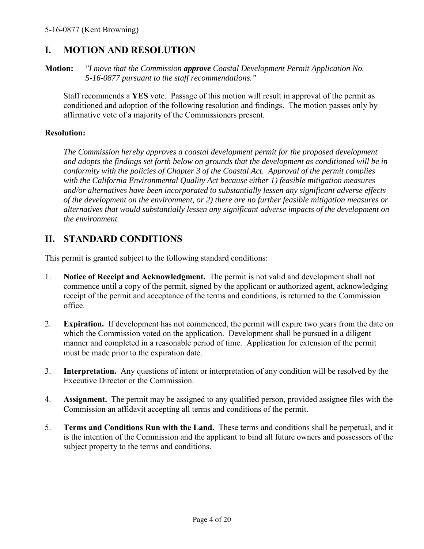# **I. MOTION AND RESOLUTION**

**Motion:** *"I move that the Commission approve Coastal Development Permit Application No. 5-16-0877 pursuant to the staff recommendations."* 

Staff recommends a **YES** vote. Passage of this motion will result in approval of the permit as conditioned and adoption of the following resolution and findings. The motion passes only by affirmative vote of a majority of the Commissioners present.

#### **Resolution:**

*The Commission hereby approves a coastal development permit for the proposed development and adopts the findings set forth below on grounds that the development as conditioned will be in conformity with the policies of Chapter 3 of the Coastal Act. Approval of the permit complies with the California Environmental Quality Act because either 1) feasible mitigation measures and/or alternatives have been incorporated to substantially lessen any significant adverse effects of the development on the environment, or 2) there are no further feasible mitigation measures or alternatives that would substantially lessen any significant adverse impacts of the development on the environment.* 

# **II. STANDARD CONDITIONS**

This permit is granted subject to the following standard conditions:

- 1. **Notice of Receipt and Acknowledgment.** The permit is not valid and development shall not commence until a copy of the permit, signed by the applicant or authorized agent, acknowledging receipt of the permit and acceptance of the terms and conditions, is returned to the Commission office.
- 2. **Expiration.** If development has not commenced, the permit will expire two years from the date on which the Commission voted on the application. Development shall be pursued in a diligent manner and completed in a reasonable period of time. Application for extension of the permit must be made prior to the expiration date.
- 3. **Interpretation.** Any questions of intent or interpretation of any condition will be resolved by the Executive Director or the Commission.
- 4. **Assignment.** The permit may be assigned to any qualified person, provided assignee files with the Commission an affidavit accepting all terms and conditions of the permit.
- 5. **Terms and Conditions Run with the Land.** These terms and conditions shall be perpetual, and it is the intention of the Commission and the applicant to bind all future owners and possessors of the subject property to the terms and conditions.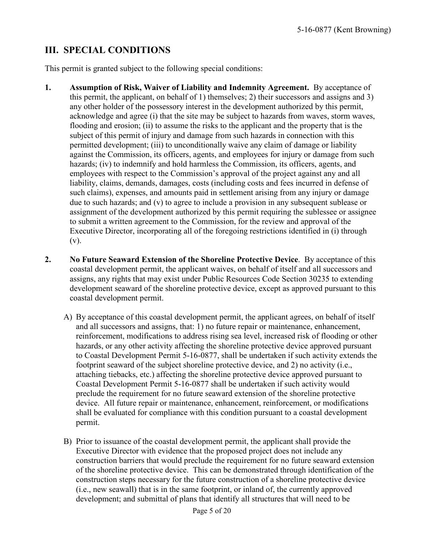# **III. SPECIAL CONDITIONS**

This permit is granted subject to the following special conditions:

- **1. Assumption of Risk, Waiver of Liability and Indemnity Agreement.** By acceptance of this permit, the applicant, on behalf of 1) themselves; 2) their successors and assigns and 3) any other holder of the possessory interest in the development authorized by this permit, acknowledge and agree (i) that the site may be subject to hazards from waves, storm waves, flooding and erosion; (ii) to assume the risks to the applicant and the property that is the subject of this permit of injury and damage from such hazards in connection with this permitted development; (iii) to unconditionally waive any claim of damage or liability against the Commission, its officers, agents, and employees for injury or damage from such hazards; (iv) to indemnify and hold harmless the Commission, its officers, agents, and employees with respect to the Commission's approval of the project against any and all liability, claims, demands, damages, costs (including costs and fees incurred in defense of such claims), expenses, and amounts paid in settlement arising from any injury or damage due to such hazards; and (v) to agree to include a provision in any subsequent sublease or assignment of the development authorized by this permit requiring the sublessee or assignee to submit a written agreement to the Commission, for the review and approval of the Executive Director, incorporating all of the foregoing restrictions identified in (i) through (v).
- **2. No Future Seaward Extension of the Shoreline Protective Device**. By acceptance of this coastal development permit, the applicant waives, on behalf of itself and all successors and assigns, any rights that may exist under Public Resources Code Section 30235 to extending development seaward of the shoreline protective device, except as approved pursuant to this coastal development permit.
	- A) By acceptance of this coastal development permit, the applicant agrees, on behalf of itself and all successors and assigns, that: 1) no future repair or maintenance, enhancement, reinforcement, modifications to address rising sea level, increased risk of flooding or other hazards, or any other activity affecting the shoreline protective device approved pursuant to Coastal Development Permit 5-16-0877, shall be undertaken if such activity extends the footprint seaward of the subject shoreline protective device, and 2) no activity (i.e., attaching tiebacks, etc.) affecting the shoreline protective device approved pursuant to Coastal Development Permit 5-16-0877 shall be undertaken if such activity would preclude the requirement for no future seaward extension of the shoreline protective device. All future repair or maintenance, enhancement, reinforcement, or modifications shall be evaluated for compliance with this condition pursuant to a coastal development permit.
	- B) Prior to issuance of the coastal development permit, the applicant shall provide the Executive Director with evidence that the proposed project does not include any construction barriers that would preclude the requirement for no future seaward extension of the shoreline protective device. This can be demonstrated through identification of the construction steps necessary for the future construction of a shoreline protective device (i.e., new seawall) that is in the same footprint, or inland of, the currently approved development; and submittal of plans that identify all structures that will need to be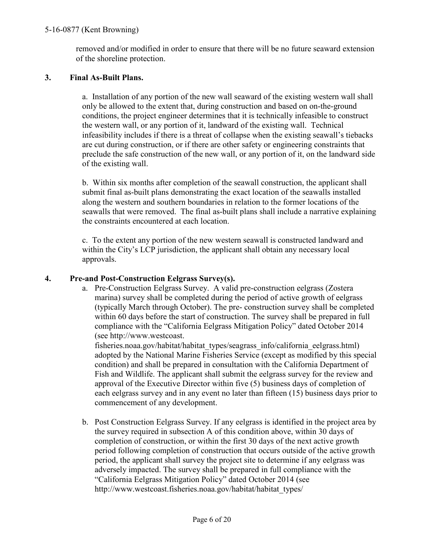removed and/or modified in order to ensure that there will be no future seaward extension of the shoreline protection.

## **3. Final As-Built Plans.**

a. Installation of any portion of the new wall seaward of the existing western wall shall only be allowed to the extent that, during construction and based on on-the-ground conditions, the project engineer determines that it is technically infeasible to construct the western wall, or any portion of it, landward of the existing wall. Technical infeasibility includes if there is a threat of collapse when the existing seawall's tiebacks are cut during construction, or if there are other safety or engineering constraints that preclude the safe construction of the new wall, or any portion of it, on the landward side of the existing wall.

b. Within six months after completion of the seawall construction, the applicant shall submit final as-built plans demonstrating the exact location of the seawalls installed along the western and southern boundaries in relation to the former locations of the seawalls that were removed. The final as-built plans shall include a narrative explaining the constraints encountered at each location.

c. To the extent any portion of the new western seawall is constructed landward and within the City's LCP jurisdiction, the applicant shall obtain any necessary local approvals.

### **4. Pre-and Post-Construction Eelgrass Survey(s).**

a. Pre-Construction Eelgrass Survey. A valid pre-construction eelgrass (Zostera marina) survey shall be completed during the period of active growth of eelgrass (typically March through October). The pre- construction survey shall be completed within 60 days before the start of construction. The survey shall be prepared in full compliance with the "California Eelgrass Mitigation Policy" dated October 2014 (see http://www.westcoast.

fisheries.noaa.gov/habitat/habitat\_types/seagrass\_info/california\_eelgrass.html) adopted by the National Marine Fisheries Service (except as modified by this special condition) and shall be prepared in consultation with the California Department of Fish and Wildlife. The applicant shall submit the eelgrass survey for the review and approval of the Executive Director within five (5) business days of completion of each eelgrass survey and in any event no later than fifteen (15) business days prior to commencement of any development.

b. Post Construction Eelgrass Survey. If any eelgrass is identified in the project area by the survey required in subsection A of this condition above, within 30 days of completion of construction, or within the first 30 days of the next active growth period following completion of construction that occurs outside of the active growth period, the applicant shall survey the project site to determine if any eelgrass was adversely impacted. The survey shall be prepared in full compliance with the "California Eelgrass Mitigation Policy" dated October 2014 (see http://www.westcoast.fisheries.noaa.gov/habitat/habitat\_types/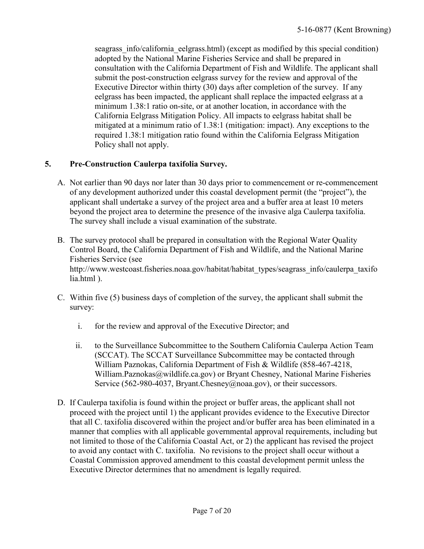seagrass info/california eelgrass.html) (except as modified by this special condition) adopted by the National Marine Fisheries Service and shall be prepared in consultation with the California Department of Fish and Wildlife. The applicant shall submit the post-construction eelgrass survey for the review and approval of the Executive Director within thirty (30) days after completion of the survey. If any eelgrass has been impacted, the applicant shall replace the impacted eelgrass at a minimum 1.38:1 ratio on-site, or at another location, in accordance with the California Eelgrass Mitigation Policy. All impacts to eelgrass habitat shall be mitigated at a minimum ratio of 1.38:1 (mitigation: impact). Any exceptions to the required 1.38:1 mitigation ratio found within the California Eelgrass Mitigation Policy shall not apply.

## **5. Pre-Construction Caulerpa taxifolia Survey.**

- A. Not earlier than 90 days nor later than 30 days prior to commencement or re-commencement of any development authorized under this coastal development permit (the "project"), the applicant shall undertake a survey of the project area and a buffer area at least 10 meters beyond the project area to determine the presence of the invasive alga Caulerpa taxifolia. The survey shall include a visual examination of the substrate.
- B. The survey protocol shall be prepared in consultation with the Regional Water Quality Control Board, the California Department of Fish and Wildlife, and the National Marine Fisheries Service (see http://www.westcoast.fisheries.noaa.gov/habitat/habitat\_types/seagrass\_info/caulerpa\_taxifo lia.html ).
- C. Within five (5) business days of completion of the survey, the applicant shall submit the survey:
	- i. for the review and approval of the Executive Director; and
	- ii. to the Surveillance Subcommittee to the Southern California Caulerpa Action Team (SCCAT). The SCCAT Surveillance Subcommittee may be contacted through William Paznokas, California Department of Fish & Wildlife (858-467-4218, William.Paznokas@wildlife.ca.gov) or Bryant Chesney, National Marine Fisheries Service (562-980-4037, Bryant.Chesney@noaa.gov), or their successors.
- D. If Caulerpa taxifolia is found within the project or buffer areas, the applicant shall not proceed with the project until 1) the applicant provides evidence to the Executive Director that all C. taxifolia discovered within the project and/or buffer area has been eliminated in a manner that complies with all applicable governmental approval requirements, including but not limited to those of the California Coastal Act, or 2) the applicant has revised the project to avoid any contact with C. taxifolia. No revisions to the project shall occur without a Coastal Commission approved amendment to this coastal development permit unless the Executive Director determines that no amendment is legally required.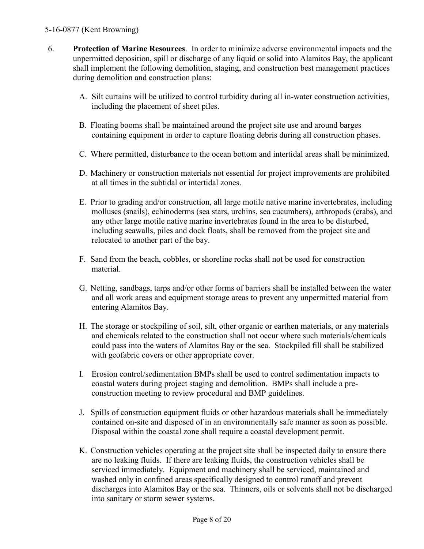- 6. **Protection of Marine Resources**. In order to minimize adverse environmental impacts and the unpermitted deposition, spill or discharge of any liquid or solid into Alamitos Bay, the applicant shall implement the following demolition, staging, and construction best management practices during demolition and construction plans:
	- A. Silt curtains will be utilized to control turbidity during all in-water construction activities, including the placement of sheet piles.
	- B. Floating booms shall be maintained around the project site use and around barges containing equipment in order to capture floating debris during all construction phases.
	- C. Where permitted, disturbance to the ocean bottom and intertidal areas shall be minimized.
	- D. Machinery or construction materials not essential for project improvements are prohibited at all times in the subtidal or intertidal zones.
	- E. Prior to grading and/or construction, all large motile native marine invertebrates, including molluscs (snails), echinoderms (sea stars, urchins, sea cucumbers), arthropods (crabs), and any other large motile native marine invertebrates found in the area to be disturbed, including seawalls, piles and dock floats, shall be removed from the project site and relocated to another part of the bay.
	- F. Sand from the beach, cobbles, or shoreline rocks shall not be used for construction material.
	- G. Netting, sandbags, tarps and/or other forms of barriers shall be installed between the water and all work areas and equipment storage areas to prevent any unpermitted material from entering Alamitos Bay.
	- H. The storage or stockpiling of soil, silt, other organic or earthen materials, or any materials and chemicals related to the construction shall not occur where such materials/chemicals could pass into the waters of Alamitos Bay or the sea. Stockpiled fill shall be stabilized with geofabric covers or other appropriate cover.
	- I. Erosion control/sedimentation BMPs shall be used to control sedimentation impacts to coastal waters during project staging and demolition. BMPs shall include a preconstruction meeting to review procedural and BMP guidelines.
	- J. Spills of construction equipment fluids or other hazardous materials shall be immediately contained on-site and disposed of in an environmentally safe manner as soon as possible. Disposal within the coastal zone shall require a coastal development permit.
	- K. Construction vehicles operating at the project site shall be inspected daily to ensure there are no leaking fluids. If there are leaking fluids, the construction vehicles shall be serviced immediately. Equipment and machinery shall be serviced, maintained and washed only in confined areas specifically designed to control runoff and prevent discharges into Alamitos Bay or the sea. Thinners, oils or solvents shall not be discharged into sanitary or storm sewer systems.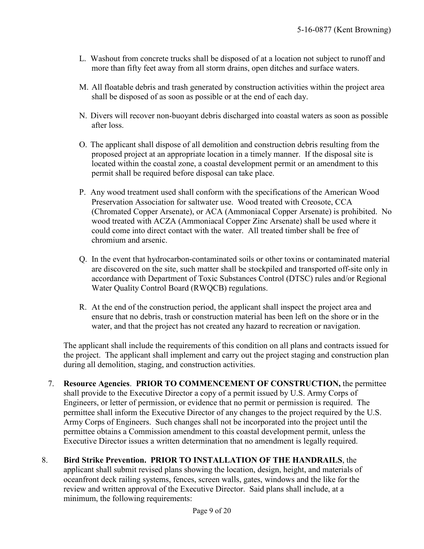- L. Washout from concrete trucks shall be disposed of at a location not subject to runoff and more than fifty feet away from all storm drains, open ditches and surface waters.
- M. All floatable debris and trash generated by construction activities within the project area shall be disposed of as soon as possible or at the end of each day.
- N. Divers will recover non-buoyant debris discharged into coastal waters as soon as possible after loss.
- O. The applicant shall dispose of all demolition and construction debris resulting from the proposed project at an appropriate location in a timely manner. If the disposal site is located within the coastal zone, a coastal development permit or an amendment to this permit shall be required before disposal can take place.
- P. Any wood treatment used shall conform with the specifications of the American Wood Preservation Association for saltwater use. Wood treated with Creosote, CCA (Chromated Copper Arsenate), or ACA (Ammoniacal Copper Arsenate) is prohibited. No wood treated with ACZA (Ammoniacal Copper Zinc Arsenate) shall be used where it could come into direct contact with the water. All treated timber shall be free of chromium and arsenic.
- Q. In the event that hydrocarbon-contaminated soils or other toxins or contaminated material are discovered on the site, such matter shall be stockpiled and transported off-site only in accordance with Department of Toxic Substances Control (DTSC) rules and/or Regional Water Quality Control Board (RWQCB) regulations.
- R. At the end of the construction period, the applicant shall inspect the project area and ensure that no debris, trash or construction material has been left on the shore or in the water, and that the project has not created any hazard to recreation or navigation.

The applicant shall include the requirements of this condition on all plans and contracts issued for the project. The applicant shall implement and carry out the project staging and construction plan during all demolition, staging, and construction activities.

- 7. **Resource Agencies**. **PRIOR TO COMMENCEMENT OF CONSTRUCTION,** the permittee shall provide to the Executive Director a copy of a permit issued by U.S. Army Corps of Engineers, or letter of permission, or evidence that no permit or permission is required. The permittee shall inform the Executive Director of any changes to the project required by the U.S. Army Corps of Engineers. Such changes shall not be incorporated into the project until the permittee obtains a Commission amendment to this coastal development permit, unless the Executive Director issues a written determination that no amendment is legally required.
- 8. **Bird Strike Prevention. PRIOR TO INSTALLATION OF THE HANDRAILS**, the applicant shall submit revised plans showing the location, design, height, and materials of oceanfront deck railing systems, fences, screen walls, gates, windows and the like for the review and written approval of the Executive Director. Said plans shall include, at a minimum, the following requirements: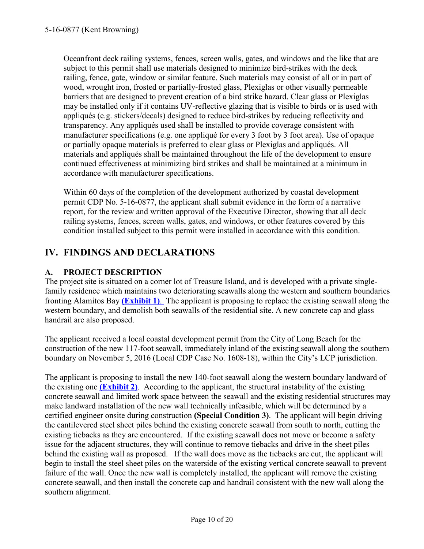Oceanfront deck railing systems, fences, screen walls, gates, and windows and the like that are subject to this permit shall use materials designed to minimize bird-strikes with the deck railing, fence, gate, window or similar feature. Such materials may consist of all or in part of wood, wrought iron, frosted or partially-frosted glass, Plexiglas or other visually permeable barriers that are designed to prevent creation of a bird strike hazard. Clear glass or Plexiglas may be installed only if it contains UV-reflective glazing that is visible to birds or is used with appliqués (e.g. stickers/decals) designed to reduce bird-strikes by reducing reflectivity and transparency. Any appliqués used shall be installed to provide coverage consistent with manufacturer specifications (e.g. one appliqué for every 3 foot by 3 foot area). Use of opaque or partially opaque materials is preferred to clear glass or Plexiglas and appliqués. All materials and appliqués shall be maintained throughout the life of the development to ensure continued effectiveness at minimizing bird strikes and shall be maintained at a minimum in accordance with manufacturer specifications.

Within 60 days of the completion of the development authorized by coastal development permit CDP No. 5-16-0877, the applicant shall submit evidence in the form of a narrative report, for the review and written approval of the Executive Director, showing that all deck railing systems, fences, screen walls, gates, and windows, or other features covered by this condition installed subject to this permit were installed in accordance with this condition.

# **IV. FINDINGS AND DECLARATIONS**

## **A. PROJECT DESCRIPTION**

The project site is situated on a corner lot of Treasure Island, and is developed with a private singlefamily residence which maintains two deteriorating seawalls along the western and southern boundaries fronting Alamitos Bay **[\(Exhibit 1\)](https://documents.coastal.ca.gov/reports/2017/5/f16d/f16d-5-2017-exhibits.pdf)**. The applicant is proposing to replace the existing seawall along the western boundary, and demolish both seawalls of the residential site. A new concrete cap and glass handrail are also proposed.

The applicant received a local coastal development permit from the City of Long Beach for the construction of the new 117-foot seawall, immediately inland of the existing seawall along the southern boundary on November 5, 2016 (Local CDP Case No. 1608-18), within the City's LCP jurisdiction.

The applicant is proposing to install the new 140-foot seawall along the western boundary landward of the existing one **[\(Exhibit 2\)](https://documents.coastal.ca.gov/reports/2017/5/f16d/f16d-5-2017-exhibits.pdf)**. According to the applicant, the structural instability of the existing concrete seawall and limited work space between the seawall and the existing residential structures may make landward installation of the new wall technically infeasible, which will be determined by a certified engineer onsite during construction **(Special Condition 3)**. The applicant will begin driving the cantilevered steel sheet piles behind the existing concrete seawall from south to north, cutting the existing tiebacks as they are encountered. If the existing seawall does not move or become a safety issue for the adjacent structures, they will continue to remove tiebacks and drive in the sheet piles behind the existing wall as proposed. If the wall does move as the tiebacks are cut, the applicant will begin to install the steel sheet piles on the waterside of the existing vertical concrete seawall to prevent failure of the wall. Once the new wall is completely installed, the applicant will remove the existing concrete seawall, and then install the concrete cap and handrail consistent with the new wall along the southern alignment.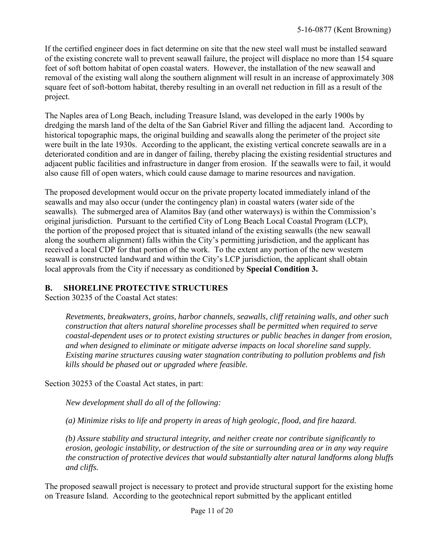If the certified engineer does in fact determine on site that the new steel wall must be installed seaward of the existing concrete wall to prevent seawall failure, the project will displace no more than 154 square feet of soft bottom habitat of open coastal waters. However, the installation of the new seawall and removal of the existing wall along the southern alignment will result in an increase of approximately 308 square feet of soft-bottom habitat, thereby resulting in an overall net reduction in fill as a result of the project.

The Naples area of Long Beach, including Treasure Island, was developed in the early 1900s by dredging the marsh land of the delta of the San Gabriel River and filling the adjacent land. According to historical topographic maps, the original building and seawalls along the perimeter of the project site were built in the late 1930s. According to the applicant, the existing vertical concrete seawalls are in a deteriorated condition and are in danger of failing, thereby placing the existing residential structures and adjacent public facilities and infrastructure in danger from erosion. If the seawalls were to fail, it would also cause fill of open waters, which could cause damage to marine resources and navigation.

The proposed development would occur on the private property located immediately inland of the seawalls and may also occur (under the contingency plan) in coastal waters (water side of the seawalls). The submerged area of Alamitos Bay (and other waterways) is within the Commission's original jurisdiction. Pursuant to the certified City of Long Beach Local Coastal Program (LCP), the portion of the proposed project that is situated inland of the existing seawalls (the new seawall along the southern alignment) falls within the City's permitting jurisdiction, and the applicant has received a local CDP for that portion of the work. To the extent any portion of the new western seawall is constructed landward and within the City's LCP jurisdiction, the applicant shall obtain local approvals from the City if necessary as conditioned by **Special Condition 3.**

#### **B. SHORELINE PROTECTIVE STRUCTURES**

Section 30235 of the Coastal Act states:

*Revetments, breakwaters, groins, harbor channels, seawalls, cliff retaining walls, and other such construction that alters natural shoreline processes shall be permitted when required to serve coastal-dependent uses or to protect existing structures or public beaches in danger from erosion, and when designed to eliminate or mitigate adverse impacts on local shoreline sand supply. Existing marine structures causing water stagnation contributing to pollution problems and fish kills should be phased out or upgraded where feasible.* 

Section 30253 of the Coastal Act states, in part:

*New development shall do all of the following:* 

*(a) Minimize risks to life and property in areas of high geologic, flood, and fire hazard.* 

*(b) Assure stability and structural integrity, and neither create nor contribute significantly to erosion, geologic instability, or destruction of the site or surrounding area or in any way require the construction of protective devices that would substantially alter natural landforms along bluffs and cliffs.*

The proposed seawall project is necessary to protect and provide structural support for the existing home on Treasure Island. According to the geotechnical report submitted by the applicant entitled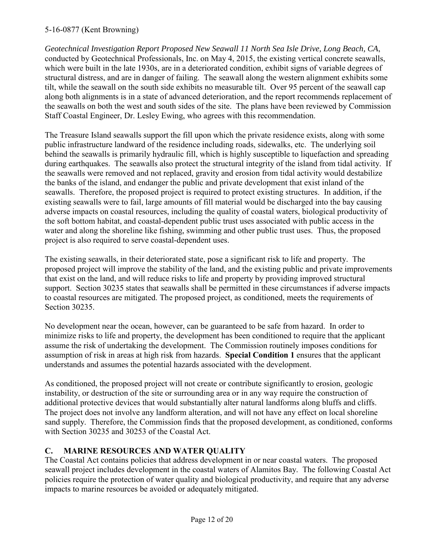*Geotechnical Investigation Report Proposed New Seawall 11 North Sea Isle Drive, Long Beach, CA*, conducted by Geotechnical Professionals, Inc. on May 4, 2015, the existing vertical concrete seawalls, which were built in the late 1930s, are in a deteriorated condition, exhibit signs of variable degrees of structural distress, and are in danger of failing. The seawall along the western alignment exhibits some tilt, while the seawall on the south side exhibits no measurable tilt. Over 95 percent of the seawall cap along both alignments is in a state of advanced deterioration, and the report recommends replacement of the seawalls on both the west and south sides of the site. The plans have been reviewed by Commission Staff Coastal Engineer, Dr. Lesley Ewing, who agrees with this recommendation.

The Treasure Island seawalls support the fill upon which the private residence exists, along with some public infrastructure landward of the residence including roads, sidewalks, etc. The underlying soil behind the seawalls is primarily hydraulic fill, which is highly susceptible to liquefaction and spreading during earthquakes. The seawalls also protect the structural integrity of the island from tidal activity. If the seawalls were removed and not replaced, gravity and erosion from tidal activity would destabilize the banks of the island, and endanger the public and private development that exist inland of the seawalls. Therefore, the proposed project is required to protect existing structures. In addition, if the existing seawalls were to fail, large amounts of fill material would be discharged into the bay causing adverse impacts on coastal resources, including the quality of coastal waters, biological productivity of the soft bottom habitat, and coastal-dependent public trust uses associated with public access in the water and along the shoreline like fishing, swimming and other public trust uses. Thus, the proposed project is also required to serve coastal-dependent uses.

The existing seawalls, in their deteriorated state, pose a significant risk to life and property. The proposed project will improve the stability of the land, and the existing public and private improvements that exist on the land, and will reduce risks to life and property by providing improved structural support. Section 30235 states that seawalls shall be permitted in these circumstances if adverse impacts to coastal resources are mitigated. The proposed project, as conditioned, meets the requirements of Section 30235.

No development near the ocean, however, can be guaranteed to be safe from hazard. In order to minimize risks to life and property, the development has been conditioned to require that the applicant assume the risk of undertaking the development. The Commission routinely imposes conditions for assumption of risk in areas at high risk from hazards. **Special Condition 1** ensures that the applicant understands and assumes the potential hazards associated with the development.

As conditioned, the proposed project will not create or contribute significantly to erosion, geologic instability, or destruction of the site or surrounding area or in any way require the construction of additional protective devices that would substantially alter natural landforms along bluffs and cliffs. The project does not involve any landform alteration, and will not have any effect on local shoreline sand supply. Therefore, the Commission finds that the proposed development, as conditioned, conforms with Section 30235 and 30253 of the Coastal Act.

## **C. MARINE RESOURCES AND WATER QUALITY**

The Coastal Act contains policies that address development in or near coastal waters. The proposed seawall project includes development in the coastal waters of Alamitos Bay. The following Coastal Act policies require the protection of water quality and biological productivity, and require that any adverse impacts to marine resources be avoided or adequately mitigated.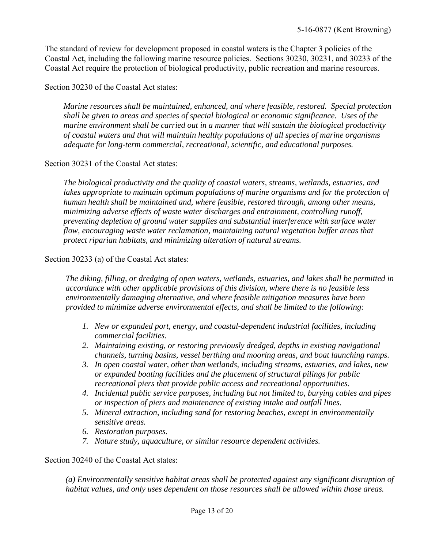The standard of review for development proposed in coastal waters is the Chapter 3 policies of the Coastal Act, including the following marine resource policies. Sections 30230, 30231, and 30233 of the Coastal Act require the protection of biological productivity, public recreation and marine resources.

#### Section 30230 of the Coastal Act states:

*Marine resources shall be maintained, enhanced, and where feasible, restored. Special protection shall be given to areas and species of special biological or economic significance. Uses of the marine environment shall be carried out in a manner that will sustain the biological productivity of coastal waters and that will maintain healthy populations of all species of marine organisms adequate for long-term commercial, recreational, scientific, and educational purposes.* 

#### Section 30231 of the Coastal Act states:

*The biological productivity and the quality of coastal waters, streams, wetlands, estuaries, and*  lakes appropriate to maintain optimum populations of marine organisms and for the protection of *human health shall be maintained and, where feasible, restored through, among other means, minimizing adverse effects of waste water discharges and entrainment, controlling runoff, preventing depletion of ground water supplies and substantial interference with surface water flow, encouraging waste water reclamation, maintaining natural vegetation buffer areas that protect riparian habitats, and minimizing alteration of natural streams.* 

#### Section 30233 (a) of the Coastal Act states:

 *The diking, filling, or dredging of open waters, wetlands, estuaries, and lakes shall be permitted in accordance with other applicable provisions of this division, where there is no feasible less environmentally damaging alternative, and where feasible mitigation measures have been provided to minimize adverse environmental effects, and shall be limited to the following:* 

- *1. New or expanded port, energy, and coastal-dependent industrial facilities, including commercial facilities.*
- *2. Maintaining existing, or restoring previously dredged, depths in existing navigational channels, turning basins, vessel berthing and mooring areas, and boat launching ramps.*
- *3. In open coastal water, other than wetlands, including streams, estuaries, and lakes, new or expanded boating facilities and the placement of structural pilings for public recreational piers that provide public access and recreational opportunities.*
- *4. Incidental public service purposes, including but not limited to, burying cables and pipes or inspection of piers and maintenance of existing intake and outfall lines.*
- *5. Mineral extraction, including sand for restoring beaches, except in environmentally sensitive areas.*
- *6. Restoration purposes.*
- *7. Nature study, aquaculture, or similar resource dependent activities.*

Section 30240 of the Coastal Act states:

*(a) Environmentally sensitive habitat areas shall be protected against any significant disruption of habitat values, and only uses dependent on those resources shall be allowed within those areas.*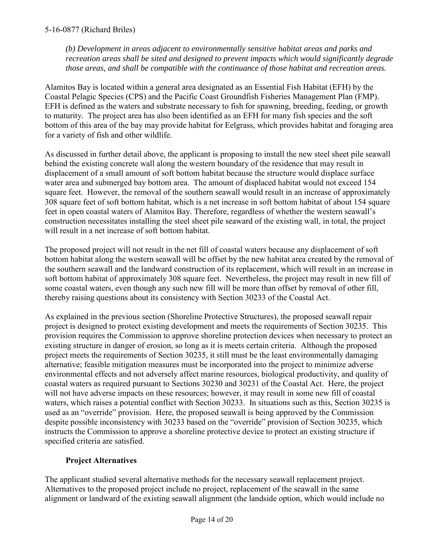*(b) Development in areas adjacent to environmentally sensitive habitat areas and parks and recreation areas shall be sited and designed to prevent impacts which would significantly degrade those areas, and shall be compatible with the continuance of those habitat and recreation areas.* 

Alamitos Bay is located within a general area designated as an Essential Fish Habitat (EFH) by the Coastal Pelagic Species (CPS) and the Pacific Coast Groundfish Fisheries Management Plan (FMP). EFH is defined as the waters and substrate necessary to fish for spawning, breeding, feeding, or growth to maturity. The project area has also been identified as an EFH for many fish species and the soft bottom of this area of the bay may provide habitat for Eelgrass, which provides habitat and foraging area for a variety of fish and other wildlife.

As discussed in further detail above, the applicant is proposing to install the new steel sheet pile seawall behind the existing concrete wall along the western boundary of the residence that may result in displacement of a small amount of soft bottom habitat because the structure would displace surface water area and submerged bay bottom area. The amount of displaced habitat would not exceed 154 square feet. However, the removal of the southern seawall would result in an increase of approximately 308 square feet of soft bottom habitat, which is a net increase in soft bottom habitat of about 154 square feet in open coastal waters of Alamitos Bay. Therefore, regardless of whether the western seawall's construction necessitates installing the steel sheet pile seaward of the existing wall, in total, the project will result in a net increase of soft bottom habitat.

The proposed project will not result in the net fill of coastal waters because any displacement of soft bottom habitat along the western seawall will be offset by the new habitat area created by the removal of the southern seawall and the landward construction of its replacement, which will result in an increase in soft bottom habitat of approximately 308 square feet. Nevertheless, the project may result in new fill of some coastal waters, even though any such new fill will be more than offset by removal of other fill, thereby raising questions about its consistency with Section 30233 of the Coastal Act.

As explained in the previous section (Shoreline Protective Structures), the proposed seawall repair project is designed to protect existing development and meets the requirements of Section 30235. This provision requires the Commission to approve shoreline protection devices when necessary to protect an existing structure in danger of erosion, so long as it is meets certain criteria. Although the proposed project meets the requirements of Section 30235, it still must be the least environmentally damaging alternative; feasible mitigation measures must be incorporated into the project to minimize adverse environmental effects and not adversely affect marine resources, biological productivity, and quality of coastal waters as required pursuant to Sections 30230 and 30231 of the Coastal Act. Here, the project will not have adverse impacts on these resources; however, it may result in some new fill of coastal waters, which raises a potential conflict with Section 30233. In situations such as this, Section 30235 is used as an "override" provision. Here, the proposed seawall is being approved by the Commission despite possible inconsistency with 30233 based on the "override" provision of Section 30235, which instructs the Commission to approve a shoreline protective device to protect an existing structure if specified criteria are satisfied.

## **Project Alternatives**

The applicant studied several alternative methods for the necessary seawall replacement project. Alternatives to the proposed project include no project, replacement of the seawall in the same alignment or landward of the existing seawall alignment (the landside option, which would include no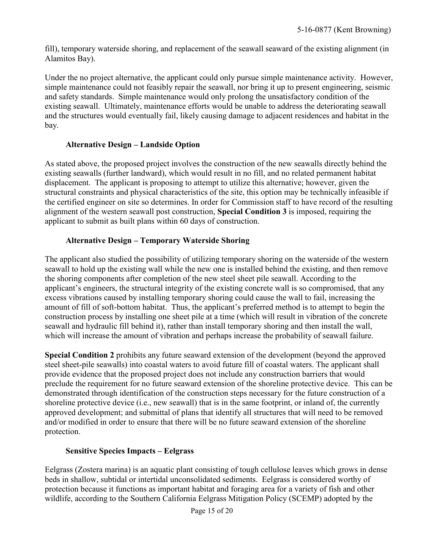fill), temporary waterside shoring, and replacement of the seawall seaward of the existing alignment (in Alamitos Bay).

Under the no project alternative, the applicant could only pursue simple maintenance activity. However, simple maintenance could not feasibly repair the seawall, nor bring it up to present engineering, seismic and safety standards. Simple maintenance would only prolong the unsatisfactory condition of the existing seawall. Ultimately, maintenance efforts would be unable to address the deteriorating seawall and the structures would eventually fail, likely causing damage to adjacent residences and habitat in the bay.

## **Alternative Design – Landside Option**

As stated above, the proposed project involves the construction of the new seawalls directly behind the existing seawalls (further landward), which would result in no fill, and no related permanent habitat displacement. The applicant is proposing to attempt to utilize this alternative; however, given the structural constraints and physical characteristics of the site, this option may be technically infeasible if the certified engineer on site so determines. In order for Commission staff to have record of the resulting alignment of the western seawall post construction, **Special Condition 3** is imposed, requiring the applicant to submit as built plans within 60 days of construction.

## **Alternative Design – Temporary Waterside Shoring**

The applicant also studied the possibility of utilizing temporary shoring on the waterside of the western seawall to hold up the existing wall while the new one is installed behind the existing, and then remove the shoring components after completion of the new steel sheet pile seawall. According to the applicant's engineers, the structural integrity of the existing concrete wall is so compromised, that any excess vibrations caused by installing temporary shoring could cause the wall to fail, increasing the amount of fill of soft-bottom habitat. Thus, the applicant's preferred method is to attempt to begin the construction process by installing one sheet pile at a time (which will result in vibration of the concrete seawall and hydraulic fill behind it), rather than install temporary shoring and then install the wall, which will increase the amount of vibration and perhaps increase the probability of seawall failure.

**Special Condition 2** prohibits any future seaward extension of the development (beyond the approved steel sheet-pile seawalls) into coastal waters to avoid future fill of coastal waters. The applicant shall provide evidence that the proposed project does not include any construction barriers that would preclude the requirement for no future seaward extension of the shoreline protective device. This can be demonstrated through identification of the construction steps necessary for the future construction of a shoreline protective device (i.e., new seawall) that is in the same footprint, or inland of, the currently approved development; and submittal of plans that identify all structures that will need to be removed and/or modified in order to ensure that there will be no future seaward extension of the shoreline protection.

#### **Sensitive Species Impacts – Eelgrass**

Eelgrass (Zostera marina) is an aquatic plant consisting of tough cellulose leaves which grows in dense beds in shallow, subtidal or intertidal unconsolidated sediments. Eelgrass is considered worthy of protection because it functions as important habitat and foraging area for a variety of fish and other wildlife, according to the Southern California Eelgrass Mitigation Policy (SCEMP) adopted by the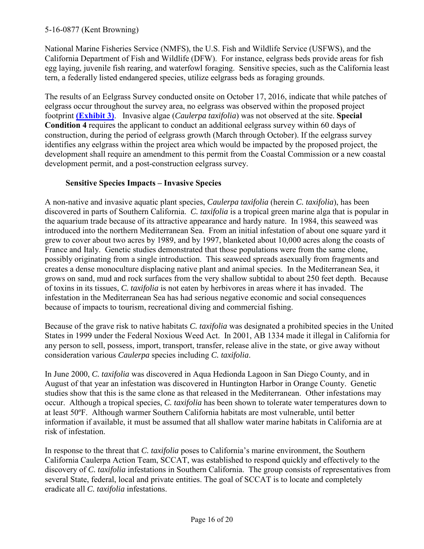National Marine Fisheries Service (NMFS), the U.S. Fish and Wildlife Service (USFWS), and the California Department of Fish and Wildlife (DFW). For instance, eelgrass beds provide areas for fish egg laying, juvenile fish rearing, and waterfowl foraging. Sensitive species, such as the California least tern, a federally listed endangered species, utilize eelgrass beds as foraging grounds.

The results of an Eelgrass Survey conducted onsite on October 17, 2016, indicate that while patches of eelgrass occur throughout the survey area, no eelgrass was observed within the proposed project footprint **[\(Exhibit 3\)](https://documents.coastal.ca.gov/reports/2017/5/f16d/f16d-5-2017-exhibits.pdf)**. Invasive algae (*Caulerpa taxifolia*) was not observed at the site. **Special Condition 4** requires the applicant to conduct an additional eelgrass survey within 60 days of construction, during the period of eelgrass growth (March through October). If the eelgrass survey identifies any eelgrass within the project area which would be impacted by the proposed project, the development shall require an amendment to this permit from the Coastal Commission or a new coastal development permit, and a post-construction eelgrass survey.

## **Sensitive Species Impacts – Invasive Species**

A non-native and invasive aquatic plant species, *Caulerpa taxifolia* (herein *C. taxifolia*), has been discovered in parts of Southern California. *C. taxifolia* is a tropical green marine alga that is popular in the aquarium trade because of its attractive appearance and hardy nature. In 1984, this seaweed was introduced into the northern Mediterranean Sea. From an initial infestation of about one square yard it grew to cover about two acres by 1989, and by 1997, blanketed about 10,000 acres along the coasts of France and Italy. Genetic studies demonstrated that those populations were from the same clone, possibly originating from a single introduction. This seaweed spreads asexually from fragments and creates a dense monoculture displacing native plant and animal species. In the Mediterranean Sea, it grows on sand, mud and rock surfaces from the very shallow subtidal to about 250 feet depth. Because of toxins in its tissues, *C. taxifolia* is not eaten by herbivores in areas where it has invaded. The infestation in the Mediterranean Sea has had serious negative economic and social consequences because of impacts to tourism, recreational diving and commercial fishing.

Because of the grave risk to native habitats *C. taxifolia* was designated a prohibited species in the United States in 1999 under the Federal Noxious Weed Act. In 2001, AB 1334 made it illegal in California for any person to sell, possess, import, transport, transfer, release alive in the state, or give away without consideration various *Caulerpa* species including *C. taxifolia*.

In June 2000, *C. taxifolia* was discovered in Aqua Hedionda Lagoon in San Diego County, and in August of that year an infestation was discovered in Huntington Harbor in Orange County. Genetic studies show that this is the same clone as that released in the Mediterranean. Other infestations may occur. Although a tropical species, *C. taxifolia* has been shown to tolerate water temperatures down to at least 50ºF. Although warmer Southern California habitats are most vulnerable, until better information if available, it must be assumed that all shallow water marine habitats in California are at risk of infestation.

In response to the threat that *C. taxifolia* poses to California's marine environment, the Southern California Caulerpa Action Team, SCCAT, was established to respond quickly and effectively to the discovery of *C. taxifolia* infestations in Southern California. The group consists of representatives from several State, federal, local and private entities. The goal of SCCAT is to locate and completely eradicate all *C. taxifolia* infestations.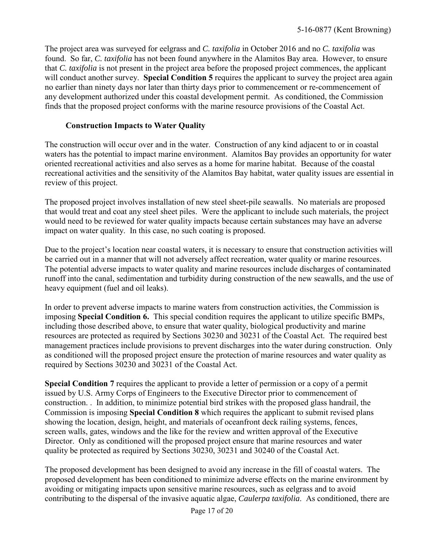The project area was surveyed for eelgrass and *C. taxifolia* in October 2016 and no *C. taxifolia* was found. So far, *C. taxifolia* has not been found anywhere in the Alamitos Bay area. However, to ensure that *C. taxifolia* is not present in the project area before the proposed project commences, the applicant will conduct another survey. **Special Condition 5** requires the applicant to survey the project area again no earlier than ninety days nor later than thirty days prior to commencement or re-commencement of any development authorized under this coastal development permit. As conditioned, the Commission finds that the proposed project conforms with the marine resource provisions of the Coastal Act.

### **Construction Impacts to Water Quality**

The construction will occur over and in the water. Construction of any kind adjacent to or in coastal waters has the potential to impact marine environment. Alamitos Bay provides an opportunity for water oriented recreational activities and also serves as a home for marine habitat. Because of the coastal recreational activities and the sensitivity of the Alamitos Bay habitat, water quality issues are essential in review of this project.

The proposed project involves installation of new steel sheet-pile seawalls. No materials are proposed that would treat and coat any steel sheet piles. Were the applicant to include such materials, the project would need to be reviewed for water quality impacts because certain substances may have an adverse impact on water quality. In this case, no such coating is proposed.

Due to the project's location near coastal waters, it is necessary to ensure that construction activities will be carried out in a manner that will not adversely affect recreation, water quality or marine resources. The potential adverse impacts to water quality and marine resources include discharges of contaminated runoff into the canal, sedimentation and turbidity during construction of the new seawalls, and the use of heavy equipment (fuel and oil leaks).

In order to prevent adverse impacts to marine waters from construction activities, the Commission is imposing **Special Condition 6.** This special condition requires the applicant to utilize specific BMPs, including those described above, to ensure that water quality, biological productivity and marine resources are protected as required by Sections 30230 and 30231 of the Coastal Act. The required best management practices include provisions to prevent discharges into the water during construction. Only as conditioned will the proposed project ensure the protection of marine resources and water quality as required by Sections 30230 and 30231 of the Coastal Act.

**Special Condition 7** requires the applicant to provide a letter of permission or a copy of a permit issued by U.S. Army Corps of Engineers to the Executive Director prior to commencement of construction. . In addition, to minimize potential bird strikes with the proposed glass handrail, the Commission is imposing **Special Condition 8** which requires the applicant to submit revised plans showing the location, design, height, and materials of oceanfront deck railing systems, fences, screen walls, gates, windows and the like for the review and written approval of the Executive Director. Only as conditioned will the proposed project ensure that marine resources and water quality be protected as required by Sections 30230, 30231 and 30240 of the Coastal Act.

The proposed development has been designed to avoid any increase in the fill of coastal waters. The proposed development has been conditioned to minimize adverse effects on the marine environment by avoiding or mitigating impacts upon sensitive marine resources, such as eelgrass and to avoid contributing to the dispersal of the invasive aquatic algae, *Caulerpa taxifolia*. As conditioned, there are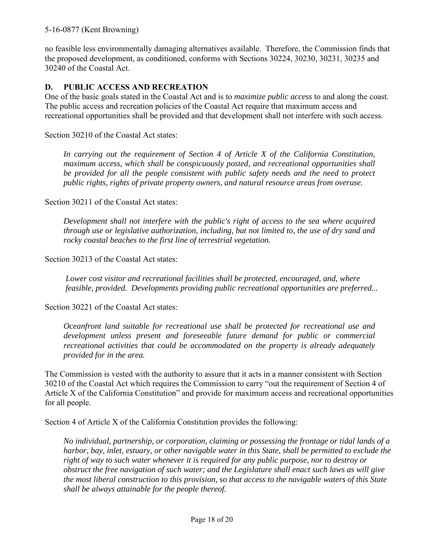no feasible less environmentally damaging alternatives available. Therefore, the Commission finds that the proposed development, as conditioned, conforms with Sections 30224, 30230, 30231, 30235 and 30240 of the Coastal Act.

#### **D. PUBLIC ACCESS AND RECREATION**

One of the basic goals stated in the Coastal Act and is to *maximize public access* to and along the coast. The public access and recreation policies of the Coastal Act require that maximum access and recreational opportunities shall be provided and that development shall not interfere with such access.

Section 30210 of the Coastal Act states:

*In carrying out the requirement of Section 4 of Article X of the California Constitution, maximum access, which shall be conspicuously posted, and recreational opportunities shall be provided for all the people consistent with public safety needs and the need to protect public rights, rights of private property owners, and natural resource areas from overuse.* 

Section 30211 of the Coastal Act states:

*Development shall not interfere with the public's right of access to the sea where acquired through use or legislative authorization, including, but not limited to, the use of dry sand and rocky coastal beaches to the first line of terrestrial vegetation.*

Section 30213 of the Coastal Act states:

*Lower cost visitor and recreational facilities shall be protected, encouraged, and, where feasible, provided. Developments providing public recreational opportunities are preferred...* 

Section 30221 of the Coastal Act states:

*Oceanfront land suitable for recreational use shall be protected for recreational use and development unless present and foreseeable future demand for public or commercial recreational activities that could be accommodated on the property is already adequately provided for in the area.* 

The Commission is vested with the authority to assure that it acts in a manner consistent with Section 30210 of the Coastal Act which requires the Commission to carry "out the requirement of Section 4 of Article X of the California Constitution" and provide for maximum access and recreational opportunities for all people.

Section 4 of Article X of the California Constitution provides the following:

*No individual, partnership, or corporation, claiming or possessing the frontage or tidal lands of a harbor, bay, inlet, estuary, or other navigable water in this State, shall be permitted to exclude the right of way to such water whenever it is required for any public purpose, nor to destroy or obstruct the free navigation of such water; and the Legislature shall enact such laws as will give the most liberal construction to this provision, so that access to the navigable waters of this State shall be always attainable for the people thereof.*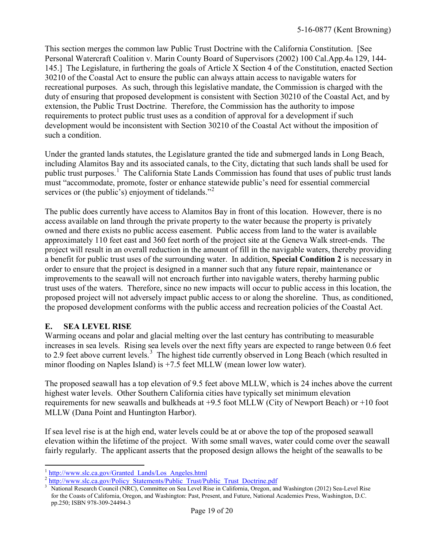This section merges the common law Public Trust Doctrine with the California Constitution. [See Personal Watercraft Coalition v. Marin County Board of Supervisors (2002) 100 Cal.App.4th 129, 144- 145.] The Legislature, in furthering the goals of Article X Section 4 of the Constitution, enacted Section 30210 of the Coastal Act to ensure the public can always attain access to navigable waters for recreational purposes. As such, through this legislative mandate, the Commission is charged with the duty of ensuring that proposed development is consistent with Section 30210 of the Coastal Act, and by extension, the Public Trust Doctrine. Therefore, the Commission has the authority to impose requirements to protect public trust uses as a condition of approval for a development if such development would be inconsistent with Section 30210 of the Coastal Act without the imposition of such a condition.

Under the granted lands statutes, the Legislature granted the tide and submerged lands in Long Beach, including Alamitos Bay and its associated canals, to the City, dictating that such lands shall be used for public trust purposes.<sup>[1](#page-18-0)</sup> The California State Lands Commission has found that uses of public trust lands must "accommodate, promote, foster or enhance statewide public's need for essential commercial services or (the public's) enjoyment of tidelands."<sup>[2](#page-18-1)</sup>

The public does currently have access to Alamitos Bay in front of this location. However, there is no access available on land through the private property to the water because the property is privately owned and there exists no public access easement. Public access from land to the water is available approximately 110 feet east and 360 feet north of the project site at the Geneva Walk street-ends. The project will result in an overall reduction in the amount of fill in the navigable waters, thereby providing a benefit for public trust uses of the surrounding water. In addition, **Special Condition 2** is necessary in order to ensure that the project is designed in a manner such that any future repair, maintenance or improvements to the seawall will not encroach further into navigable waters, thereby harming public trust uses of the waters. Therefore, since no new impacts will occur to public access in this location, the proposed project will not adversely impact public access to or along the shoreline. Thus, as conditioned, the proposed development conforms with the public access and recreation policies of the Coastal Act.

## **E. SEA LEVEL RISE**

Warming oceans and polar and glacial melting over the last century has contributing to measurable increases in sea levels. Rising sea levels over the next fifty years are expected to range between 0.6 feet to 2.9 feet above current levels.<sup>[3](#page-18-2)</sup> The highest tide currently observed in Long Beach (which resulted in minor flooding on Naples Island) is +7.5 feet MLLW (mean lower low water).

The proposed seawall has a top elevation of 9.5 feet above MLLW, which is 24 inches above the current highest water levels. Other Southern California cities have typically set minimum elevation requirements for new seawalls and bulkheads at +9.5 foot MLLW (City of Newport Beach) or +10 foot MLLW (Dana Point and Huntington Harbor).

If sea level rise is at the high end, water levels could be at or above the top of the proposed seawall elevation within the lifetime of the project. With some small waves, water could come over the seawall fairly regularly. The applicant asserts that the proposed design allows the height of the seawalls to be

 $\overline{a}$ <sup>1</sup> http://www.slc.ca.gov/Granted Lands/Los Angeles.html

<span id="page-18-2"></span><span id="page-18-1"></span><span id="page-18-0"></span><sup>&</sup>lt;sup>2</sup> [http://www.slc.ca.gov/Policy\\_Statements/Public\\_Trust/Public\\_Trust\\_Doctrine.pdf](http://www.slc.ca.gov/Policy_Statements/Public_Trust/Public_Trust_Doctrine.pdf)

<sup>3</sup> National Research Council (NRC), Committee on Sea Level Rise in California, Oregon, and Washington (2012) Sea-Level Rise for the Coasts of California, Oregon, and Washington: Past, Present, and Future, National Academies Press, Washington, D.C. pp.250; ISBN 978-309-24494-3